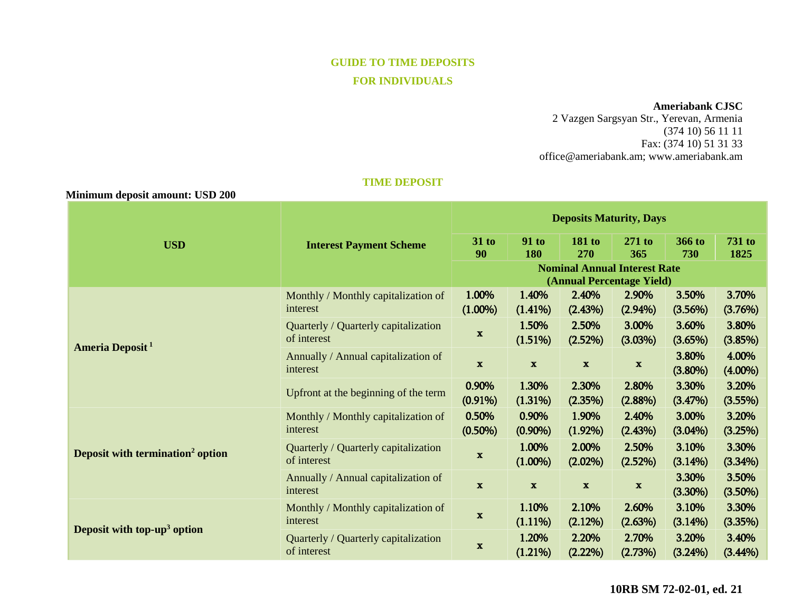# **GUIDE TO TIME DEPOSITS FOR INDIVIDUALS**

#### **Ameriabank CJSC**

2 Vazgen Sargsyan Str., Yerevan, Armenia (374 10) 56 11 11 Fax: (374 10) 51 31 33 [office@ameriabank.am;](mailto:office@ameriabank.am) www.ameriabank.am

## **TIME DEPOSIT**

**Minimum deposit amount: USD 200**

**ISD Interest Payment Scheme Deposits Maturity, Days 31 to 90 91 to 180 181 to 270 271 to 365 366 to 730 731 to 1825 Nominal Annual Interest Rate (Annual Percentage Yield) Ameria Deposit <sup>1</sup>** Monthly / Monthly capitalization of interest 1.00% (1.00%) 1.40% (1.41%) 2.40% (2.43%) 2.90% (2.94%) 3.50% (3.56%) 3.70% (3.76%) Quarterly / Quarterly capitalization<br>
of interest 1.50% (1.51%) 2.50% (2.52%) 3.00% (3.03%) 3.60% (3.65%) 3.80% (3.85%) Annually / Annual capitalization of  $\frac{x}{y}$  x  $\frac{x}{x}$  x  $\frac{x}{x}$  x 3.80% (3.80%) 4.00% (4.00%) Upfront at the beginning of the term  $0.90\%$ (0.91%) 1.30% (1.31%) 2.30% (2.35%) 2.80% (2.88%) 3.30% (3.47%) 3.20% (3.55%) **Deposit with termination<sup>2</sup> option** Monthly / Monthly capitalization of interest 0.50% (0.50%) 0.90% (0.90%) 1.90% (1.92%) 2.40% (2.43%) 3.00% (3.04%) 3.20% (3.25%) Quarterly / Quarterly capitalization of interest **x** 1.00% (1.00%) 2.00% (2.02%) 2.50% (2.52%) 3.10% (3.14%) 3.30% (3.34%) Annually / Annual capitalization of  $\frac{x}{y}$  x  $\frac{x}{x}$  x  $\frac{x}{x}$  x 3.30% (3.30%) 3.50% (3.50%) **Deposit with top-up<sup>3</sup> option** Monthly / Monthly capitalization of **x** 1.10% (1.11%) 2.10% (2.12%) 2.60% (2.63%) 3.10% (3.14%) 3.30% (3.35%) Quarterly / Quarterly capitalization of interest **x** 1.20% (1.21%) 2.20% (2.22%) 2.70% (2.73%) 3.20% (3.24%) 3.40% (3.44%)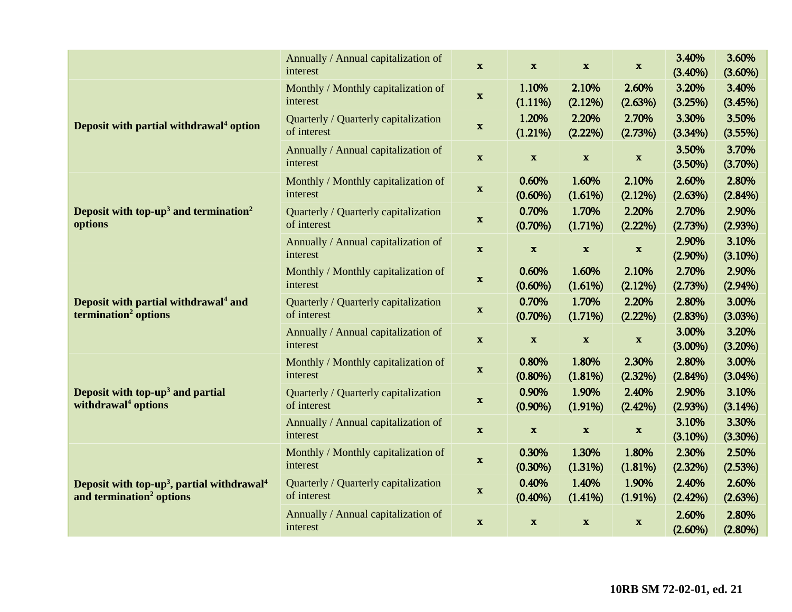|                                                                                                            | Annually / Annual capitalization of<br>interest     | $\mathbf{x}$              | $\mathbf x$         | $\mathbf{x}$     | $\boldsymbol{\mathrm{X}}$ | 3.40%<br>$(3.40\%)$ | 3.60%<br>$(3.60\%)$ |
|------------------------------------------------------------------------------------------------------------|-----------------------------------------------------|---------------------------|---------------------|------------------|---------------------------|---------------------|---------------------|
| Deposit with partial withdrawal <sup>4</sup> option                                                        | Monthly / Monthly capitalization of<br>interest     | $\mathbf x$               | 1.10%<br>$(1.11\%)$ | 2.10%<br>(2.12%) | 2.60%<br>(2.63%)          | 3.20%<br>(3.25%)    | 3.40%<br>(3.45%)    |
|                                                                                                            | Quarterly / Quarterly capitalization<br>of interest | $\mathbf x$               | 1.20%<br>(1.21%)    | 2.20%<br>(2.22%) | 2.70%<br>(2.73%)          | 3.30%<br>(3.34%)    | 3.50%<br>(3.55%)    |
|                                                                                                            | Annually / Annual capitalization of<br>interest     | $\mathbf{x}$              | $\mathbf{x}$        | $\mathbf{x}$     | $\mathbf x$               | 3.50%<br>$(3.50\%)$ | 3.70%<br>(3.70%)    |
| Deposit with top-up <sup>3</sup> and termination <sup>2</sup><br>options                                   | Monthly / Monthly capitalization of<br>interest     | $\mathbf x$               | 0.60%<br>$(0.60\%)$ | 1.60%<br>(1.61%) | 2.10%<br>(2.12%)          | 2.60%<br>(2.63%)    | 2.80%<br>$(2.84\%)$ |
|                                                                                                            | Quarterly / Quarterly capitalization<br>of interest | $\mathbf x$               | 0.70%<br>$(0.70\%)$ | 1.70%<br>(1.71%) | 2.20%<br>(2.22%)          | 2.70%<br>(2.73%)    | 2.90%<br>(2.93%)    |
|                                                                                                            | Annually / Annual capitalization of<br>interest     | $\mathbf x$               | $\mathbf x$         | $\mathbf x$      | $\boldsymbol{\mathrm{x}}$ | 2.90%<br>$(2.90\%)$ | 3.10%<br>$(3.10\%)$ |
| Deposit with partial withdrawal <sup>4</sup> and<br>termination <sup>2</sup> options                       | Monthly / Monthly capitalization of<br>interest     | $\mathbf x$               | 0.60%<br>$(0.60\%)$ | 1.60%<br>(1.61%) | 2.10%<br>(2.12%)          | 2.70%<br>(2.73%)    | 2.90%<br>$(2.94\%)$ |
|                                                                                                            | Quarterly / Quarterly capitalization<br>of interest | $\mathbf x$               | 0.70%<br>$(0.70\%)$ | 1.70%<br>(1.71%) | 2.20%<br>(2.22%)          | 2.80%<br>(2.83%)    | 3.00%<br>(3.03%)    |
|                                                                                                            | Annually / Annual capitalization of<br>interest     | $\mathbf x$               | $\mathbf x$         | $\mathbf x$      | $\mathbf x$               | 3.00%<br>$(3.00\%)$ | 3.20%<br>(3.20%)    |
| Deposit with top-up <sup>3</sup> and partial<br>withdrawal <sup>4</sup> options                            | Monthly / Monthly capitalization of<br>interest     | $\mathbf x$               | 0.80%<br>$(0.80\%)$ | 1.80%<br>(1.81%) | 2.30%<br>(2.32%)          | 2.80%<br>$(2.84\%)$ | 3.00%<br>$(3.04\%)$ |
|                                                                                                            | Quarterly / Quarterly capitalization<br>of interest | $\boldsymbol{\mathrm{x}}$ | 0.90%<br>$(0.90\%)$ | 1.90%<br>(1.91%) | 2.40%<br>(2.42%)          | 2.90%<br>(2.93%)    | 3.10%<br>(3.14%)    |
|                                                                                                            | Annually / Annual capitalization of<br>interest     | $\mathbf x$               | $\mathbf x$         | $\mathbf x$      | $\mathbf x$               | 3.10%<br>(3.10%)    | 3.30%<br>$(3.30\%)$ |
| Deposit with top-up <sup>3</sup> , partial withdrawal <sup>4</sup><br>and termination <sup>2</sup> options | Monthly / Monthly capitalization of<br>interest     | $\mathbf x$               | 0.30%<br>$(0.30\%)$ | 1.30%<br>(1.31%) | 1.80%<br>(1.81%)          | 2.30%<br>(2.32%)    | 2.50%<br>(2.53%)    |
|                                                                                                            | Quarterly / Quarterly capitalization<br>of interest | $\mathbf x$               | 0.40%<br>$(0.40\%)$ | 1.40%<br>(1.41%) | 1.90%<br>(1.91%)          | 2.40%<br>(2.42%)    | 2.60%<br>(2.63%)    |
|                                                                                                            | Annually / Annual capitalization of<br>interest     | $\mathbf{x}$              | $\mathbf{x}$        | $\mathbf{x}$     | $\mathbf x$               | 2.60%<br>$(2.60\%)$ | 2.80%<br>$(2.80\%)$ |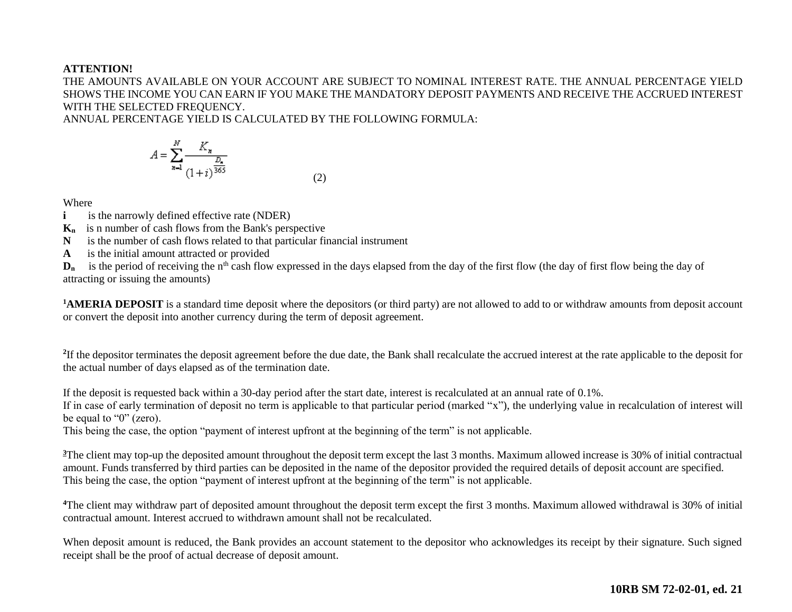## **ATTENTION!**

THE AMOUNTS AVAILABLE ON YOUR ACCOUNT ARE SUBJECT TO NOMINAL INTEREST RATE. THE ANNUAL PERCENTAGE YIELD SHOWS THE INCOME YOU CAN EARN IF YOU MAKE THE MANDATORY DEPOSIT PAYMENTS AND RECEIVE THE ACCRUED INTEREST WITH THE SELECTED FREQUENCY.

ANNUAL PERCENTAGE YIELD IS CALCULATED BY THE FOLLOWING FORMULA:

$$
A = \sum_{n=1}^{N} \frac{K_n}{(1+i)^{\frac{D_n}{365}}}
$$
(2)

Where

**i** is the narrowly defined effective rate (NDER)

**Kn** is n number of cash flows from the Bank's perspective

**N** is the number of cash flows related to that particular financial instrument

**A** is the initial amount attracted or provided

 $D_n$  is the period of receiving the n<sup>th</sup> cash flow expressed in the days elapsed from the day of the first flow (the day of first flow being the day of attracting or issuing the amounts)

**<sup>1</sup>AMERIA DEPOSIT** is a standard time deposit where the depositors (or third party) are not allowed to add to or withdraw amounts from deposit account or convert the deposit into another currency during the term of deposit agreement.

<sup>2</sup>If the depositor terminates the deposit agreement before the due date, the Bank shall recalculate the accrued interest at the rate applicable to the deposit for the actual number of days elapsed as of the termination date.

If the deposit is requested back within a 30-day period after the start date, interest is recalculated at an annual rate of 0.1%.

If in case of early termination of deposit no term is applicable to that particular period (marked "x"), the underlying value in recalculation of interest will be equal to "0" (zero).

This being the case, the option "payment of interest upfront at the beginning of the term" is not applicable.

<sup>3</sup>The client may top-up the deposited amount throughout the deposit term except the last 3 months. Maximum allowed increase is 30% of initial contractual amount. Funds transferred by third parties can be deposited in the name of the depositor provided the required details of deposit account are specified. This being the case, the option "payment of interest upfront at the beginning of the term" is not applicable.

<sup>4</sup>The client may withdraw part of deposited amount throughout the deposit term except the first 3 months. Maximum allowed withdrawal is 30% of initial contractual amount. Interest accrued to withdrawn amount shall not be recalculated.

When deposit amount is reduced, the Bank provides an account statement to the depositor who acknowledges its receipt by their signature. Such signed receipt shall be the proof of actual decrease of deposit amount.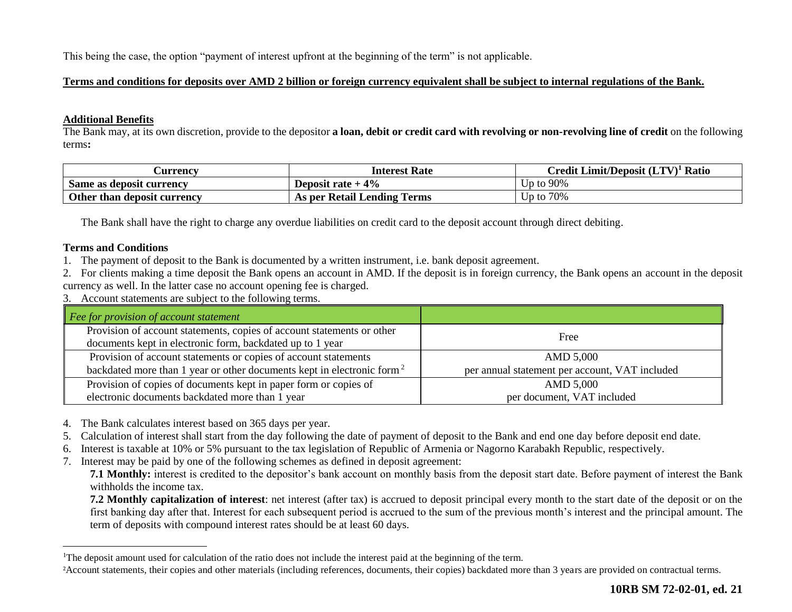This being the case, the option "payment of interest upfront at the beginning of the term" is not applicable.

## **Terms and conditions for deposits over AMD 2 billion or foreign currency equivalent shall be subject to internal regulations of the Bank.**

#### **Additional Benefits**

The Bank may, at its own discretion, provide to the depositor **a loan, debit or credit card with revolving or non-revolving line of credit** on the following terms**:**

| <b>Qurrency</b>             | Interest Rate               | $C$ redit Limit/Deposit $(LTV)^1$ Ratio |
|-----------------------------|-----------------------------|-----------------------------------------|
| Same as deposit currency    | Deposit rate $+4\%$         | Up to $90\%$                            |
| Other than deposit currency | As per Retail Lending Terms | Up to $70\%$                            |

The Bank shall have the right to charge any overdue liabilities on credit card to the deposit account through direct debiting.

#### **Terms and Conditions**

 $\overline{a}$ 

1. The payment of deposit to the Bank is documented by a written instrument, i.e. bank deposit agreement.

2. For clients making a time deposit the Bank opens an account in AMD. If the deposit is in foreign currency, the Bank opens an account in the deposit currency as well. In the latter case no account opening fee is charged.

3. Account statements are subject to the following terms.

| Fee for provision of account statement                                             |                                                |  |  |
|------------------------------------------------------------------------------------|------------------------------------------------|--|--|
| Provision of account statements, copies of account statements or other             | Free                                           |  |  |
| documents kept in electronic form, backdated up to 1 year                          |                                                |  |  |
| Provision of account statements or copies of account statements                    | AMD 5,000                                      |  |  |
| backdated more than 1 year or other documents kept in electronic form <sup>2</sup> | per annual statement per account, VAT included |  |  |
| Provision of copies of documents kept in paper form or copies of                   | AMD 5,000                                      |  |  |
| electronic documents backdated more than 1 year                                    | per document, VAT included                     |  |  |

- 4. The Bank calculates interest based on 365 days per year.
- 5. Calculation of interest shall start from the day following the date of payment of deposit to the Bank and end one day before deposit end date.
- 6. Interest is taxable at 10% or 5% pursuant to the tax legislation of Republic of Armenia or Nagorno Karabakh Republic, respectively.
- 7. Interest may be paid by one of the following schemes as defined in deposit agreement:

**7.1 Monthly:** interest is credited to the depositor's bank account on monthly basis from the deposit start date. Before payment of interest the Bank withholds the income tax.

**7.2 Monthly capitalization of interest**: net interest (after tax) is accrued to deposit principal every month to the start date of the deposit or on the first banking day after that. Interest for each subsequent period is accrued to the sum of the previous month's interest and the principal amount. The term of deposits with compound interest rates should be at least 60 days.

<sup>&</sup>lt;sup>1</sup>The deposit amount used for calculation of the ratio does not include the interest paid at the beginning of the term.

<sup>2</sup>Account statements, their copies and other materials (including references, documents, their copies) backdated more than 3 years are provided on contractual terms.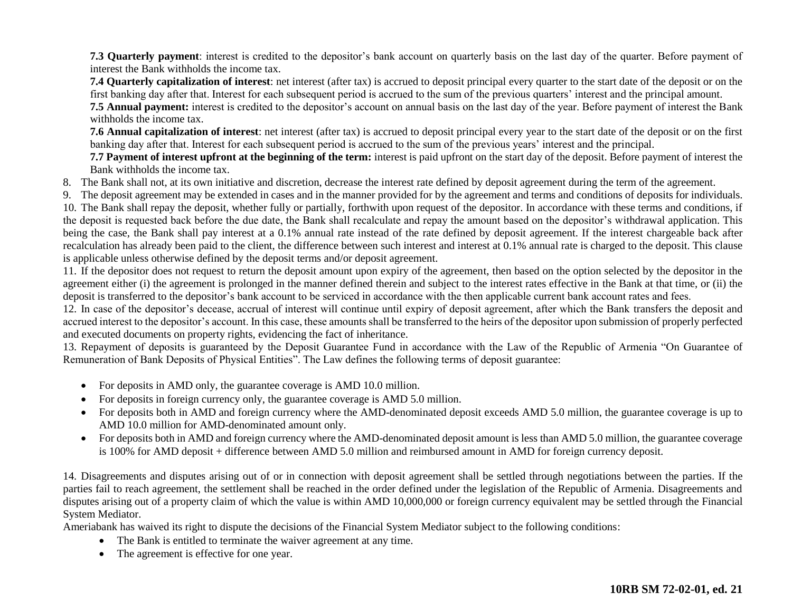**7.3 Quarterly payment**: interest is credited to the depositor's bank account on quarterly basis on the last day of the quarter. Before payment of interest the Bank withholds the income tax.

**7.4 Quarterly capitalization of interest**: net interest (after tax) is accrued to deposit principal every quarter to the start date of the deposit or on the first banking day after that. Interest for each subsequent period is accrued to the sum of the previous quarters' interest and the principal amount.

**7.5 Annual payment:** interest is credited to the depositor's account on annual basis on the last day of the year. Before payment of interest the Bank withholds the income tax.

**7.6 Annual capitalization of interest**: net interest (after tax) is accrued to deposit principal every year to the start date of the deposit or on the first banking day after that. Interest for each subsequent period is accrued to the sum of the previous years' interest and the principal.

**7.7 Payment of interest upfront at the beginning of the term:** interest is paid upfront on the start day of the deposit. Before payment of interest the Bank withholds the income tax.

8. The Bank shall not, at its own initiative and discretion, decrease the interest rate defined by deposit agreement during the term of the agreement.

9. The deposit agreement may be extended in cases and in the manner provided for by the agreement and terms and conditions of deposits for individuals.

10. The Bank shall repay the deposit, whether fully or partially, forthwith upon request of the depositor. In accordance with these terms and conditions, if the deposit is requested back before the due date, the Bank shall recalculate and repay the amount based on the depositor's withdrawal application. This being the case, the Bank shall pay interest at a 0.1% annual rate instead of the rate defined by deposit agreement. If the interest chargeable back after recalculation has already been paid to the client, the difference between such interest and interest at 0.1% annual rate is charged to the deposit. This clause is applicable unless otherwise defined by the deposit terms and/or deposit agreement.

11. If the depositor does not request to return the deposit amount upon expiry of the agreement, then based on the option selected by the depositor in the agreement either (i) the agreement is prolonged in the manner defined therein and subject to the interest rates effective in the Bank at that time, or (ii) the deposit is transferred to the depositor's bank account to be serviced in accordance with the then applicable current bank account rates and fees.

12. In case of the depositor's decease, accrual of interest will continue until expiry of deposit agreement, after which the Bank transfers the deposit and accrued interest to the depositor's account. In this case, these amounts shall be transferred to the heirs of the depositor upon submission of properly perfected and executed documents on property rights, evidencing the fact of inheritance.

13. Repayment of deposits is guaranteed by the Deposit Guarantee Fund in accordance with the Law of the Republic of Armenia "On Guarantee of Remuneration of Bank Deposits of Physical Entities". The Law defines the following terms of deposit guarantee:

- For deposits in AMD only, the guarantee coverage is AMD 10.0 million.
- For deposits in foreign currency only, the guarantee coverage is AMD 5.0 million.
- For deposits both in AMD and foreign currency where the AMD-denominated deposit exceeds AMD 5.0 million, the guarantee coverage is up to AMD 10.0 million for AMD-denominated amount only.
- For deposits both in AMD and foreign currency where the AMD-denominated deposit amount is less than AMD 5.0 million, the guarantee coverage is 100% for AMD deposit + difference between AMD 5.0 million and reimbursed amount in AMD for foreign currency deposit.

14. Disagreements and disputes arising out of or in connection with deposit agreement shall be settled through negotiations between the parties. If the parties fail to reach agreement, the settlement shall be reached in the order defined under the legislation of the Republic of Armenia. Disagreements and disputes arising out of a property claim of which the value is within AMD 10,000,000 or foreign currency equivalent may be settled through the Financial System Mediator.

Ameriabank has waived its right to dispute the decisions of the Financial System Mediator subject to the following conditions:

- The Bank is entitled to terminate the waiver agreement at any time.
- The agreement is effective for one year.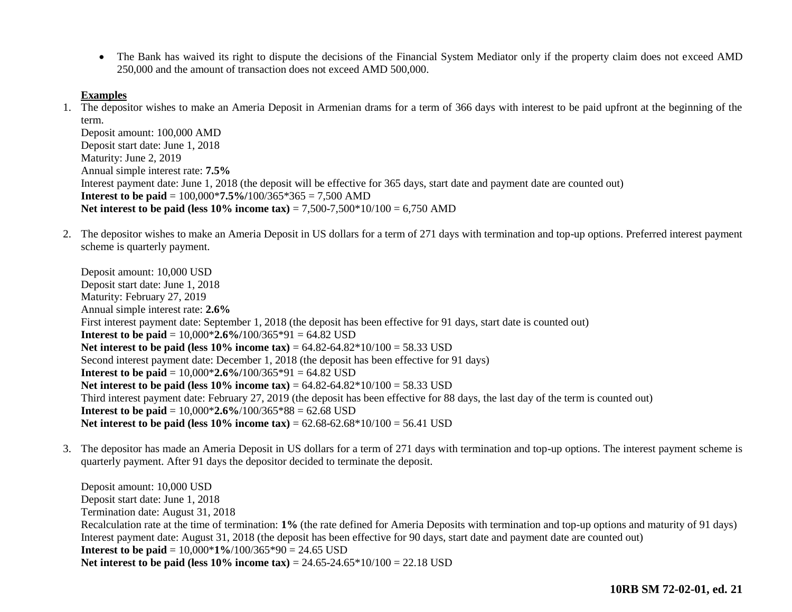• The Bank has waived its right to dispute the decisions of the Financial System Mediator only if the property claim does not exceed AMD 250,000 and the amount of transaction does not exceed AMD 500,000.

### **Examples**

1. The depositor wishes to make an Ameria Deposit in Armenian drams for a term of 366 days with interest to be paid upfront at the beginning of the term.

Deposit amount: 100,000 AMD Deposit start date: June 1, 2018 Maturity: June 2, 2019 Annual simple interest rate: **7.5%** Interest payment date: June 1, 2018 (the deposit will be effective for 365 days, start date and payment date are counted out) **Interest to be paid** = 100,000\***7.5%/**100/365\*365 = 7,500 AMD **Net interest to be paid (less 10% income tax)** = 7,500-7,500\*10/100 = 6,750 AMD

2. The depositor wishes to make an Ameria Deposit in US dollars for a term of 271 days with termination and top-up options. Preferred interest payment scheme is quarterly payment.

Deposit amount: 10,000 USD Deposit start date: June 1, 2018 Maturity: February 27, 2019 Annual simple interest rate: **2.6%** First interest payment date: September 1, 2018 (the deposit has been effective for 91 days, start date is counted out) **Interest to be paid =**  $10,000*2.6\%/100/365*91 = 64.82$  **USD Net interest to be paid (less 10% income tax)** = 64.82-64.82\*10/100 = 58.33 USD Second interest payment date: December 1, 2018 (the deposit has been effective for 91 days) **Interest to be paid =**  $10,000*2.6\%/100/365*91 = 64.82$  **USD Net interest to be paid (less**  $10\%$  **income tax) =**  $64.82 \cdot 64.82 \cdot 10/100 = 58.33 \text{ USD}$ Third interest payment date: February 27, 2019 (the deposit has been effective for 88 days, the last day of the term is counted out) **Interest to be paid =**  $10,000*2.6\%/100/365*88 = 62.68$  **USD Net interest to be paid (less**  $10\%$  **income tax) =**  $62.68 - 62.68 \times 10/100 = 56.41$  **USD** 

3. The depositor has made an Ameria Deposit in US dollars for a term of 271 days with termination and top-up options. The interest payment scheme is quarterly payment. After 91 days the depositor decided to terminate the deposit.

Deposit amount: 10,000 USD Deposit start date: June 1, 2018 Termination date: August 31, 2018 Recalculation rate at the time of termination: **1%** (the rate defined for Ameria Deposits with termination and top-up options and maturity of 91 days) Interest payment date: August 31, 2018 (the deposit has been effective for 90 days, start date and payment date are counted out) **Interest to be paid** = 10,000\***1%**/100/365\*90 = 24.65 USD **Net interest to be paid (less 10% income tax)** = 24.65-24.65\*10/100 = 22.18 USD